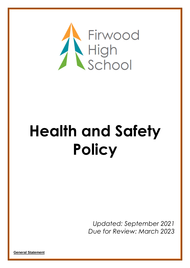

# **Health and Safety Policy**

*Updated: September 2021 Due for Review: March 2023*

**General Statement**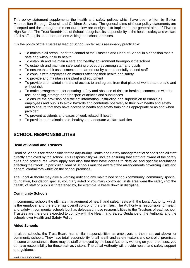This policy statement supplements the health and safety polices which have been written by Bolton Metropolitan Borough Council and Children Services. The general aims of these policy statements are accepted and the arrangements set out below are designed to implement the general aims of Firwood High School. The Trust Board/Head of School recognises its responsibility to the health, safety and welfare of all staff, pupils and other persons visiting the school premises.

It is the policy of the Trustees/Head of School, so far as is reasonably practicable:

- To maintain all areas under the control of the Trustees and Head of School in a condition that is safe and without risk to health
- To establish and maintain a safe and healthy environment throughout the school
- To establish and maintain safe working procedures among staff and pupils
- To ensure that risk assessments are carried out by competent fully trained staff
- To consult with employees on matters affecting their health and safety
- To provide and maintain safe plant and equipment
- To provide and maintain means of access to and egress from that place of work that are safe and without risk
- To make arrangements for ensuring safety and absence of risks to health in connection with the use, handling, storage and transport of articles and substances
- To ensure the provision of sufficient information, instruction and supervision to enable all employees and pupils to avoid hazards and contribute positively to their own health and safety and to ensure that they have access to health and safety training as appropriate or as and when provided
- To prevent accidents and cases of work related ill health
- To provide and maintain safe, healthy and adequate welfare facilities

# **SCHOOL RESPONSIBILITIES**

#### **Head of School and Trustees**

Head of Schools are responsible for the day-to-day Health and Safety management of schools and all staff directly employed by the school. This responsibility will include ensuring that staff are aware of the safety rules and procedures which apply and also that they have access to detailed and specific regulations affecting their work. In particular Head of Schools must be aware of the arrangements governing visits and general contractors whilst on the school premises.

The Local Authority may give a warning notice to any maintained school (community, community special, foundation, foundation special, voluntary aided or voluntary controlled) in its area were the safety (not the health) of staff or pupils is threatened by, for example, a break down in discipline.

#### **Community Schools**

In community schools the ultimate management of health and safety rests with the Local Authority, which is the employer and therefore has overall control of the premises. The Authority is responsible for health and safety in community schools but has delegated those responsibilities to the Trustees of each school. Trustees are therefore expected to comply with the Health and Safety Guidance of the Authority and the schools own Health and Safety Policy

#### **Aided Schools**

In aided schools, the Trust Board has similar responsibilities as employers to those set out above for community schools. They have total responsibility for all health and safety matters and control of premises. In some circumstances there may be staff employed by the Local Authority working on your premises, you do have responsibility for these staff as visitors. The Local Authority will provide health and safety support and guidance.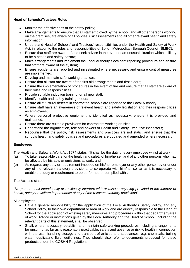#### **Head of Schools/Trustees Roles**

- Monitor the effectiveness of the safety policy:
- Make arrangements to ensure that all staff employed by the school, and all other persons working on the premises, are aware of all policies, risk assessments and all other relevant health and safety information;
- Understand Head of Schools' and Trustees' responsibilities under the Health and Safety at Work Act, in relation to the roles and responsibilities of Bolton Metropolitan Borough Council (BMBC);
- Ensure that staff are aware of and seek advice in the event of an unusual situation which is likely to be a health and safety hazard;
- Make arrangements and implement the Local Authority's accident reporting procedure and ensure that staff are aware of the system;
- Ensure accidents are reported and investigated where necessary, and ensure control measures are implemented;
- Develop and maintain safe working practices;
- Ensure that all staff are aware of the first aid arrangements and first aiders;
- Ensure the implementation of procedures in the event of fire and ensure that all staff are aware of their roles and responsibilities;
- Provide suitable induction training for all new staff;
- Identify health and safety training needs;
- Ensure all structural defects in contracted schools are reported to the Local Authority;
- Ensure staff have an awareness of relevant health and safety legislation and their responsibilities as employees;
- Where personal protective equipment is identified as necessary, ensure it is provided and maintained;
- Ensure there are suitable provisions for contractors working on site;
- Understand the organisation, role and powers of Health and Safety Executive Inspectors;
- Recognise that the policy, risk assessments and practices are not static, and ensure that the schools health and safety policies and procedures are updated and amended where necessary.

#### **Employees**

The Health and Safety at Work Act 1974 states -"It shall be the duty of every employee whilst at work -

- (a) To take reasonable care for the health and safety of him/herself and of any other persons who may be affected by his acts or omissions at work: and
- (b) As regards any duty or requirement imposed on his/her employer or any other person by or under any of the relevant statutory provisions, to co-operate with him/her so far as it is necessary to enable that duty or requirement to be performed or complied with".

#### The Act also states:

*"No person shall intentionally or recklessly interfere with or misuse anything provided in the interest of health, safety or welfare in pursuance of any of the relevant statutory provisions".*

All employees:

- Have a general responsibility for the application of the Local Authority's Safety Policy, and any School Policy, to their own department or area of work and are directly responsible to the Head of School for the application of existing safety measures and procedures within that department/area of work. Advice or instructions given by the Local Authority and the Head of School, including the relevant parts of this statement, shall be observed;
- Shall, where necessary, establish and maintain safe working procedures including arrangements for ensuring, as far as is reasonably practicable, safety and absence or risk to health in connection with the use, handling storage and transport of articles and substances, e.g. chemicals, boiling water, duplicating fluid, guillotines. They should also refer to documents produced for these products under the COSHH Regulations;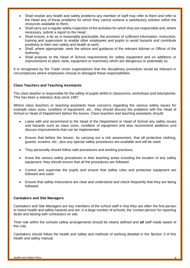- Shall resolve any health and safety problems any member of staff may refer to them and refer to the Head any of these problems for which they cannot achieve a satisfactory solution within the resources available to them;
- Shall carry out a regular safety inspection of the activities for which they are responsible and, where necessary, submit a report to the Head;
- Shall ensure, a far as is reasonably practicable, the provision of sufficient information, instruction, training and supervision to enable other employees and pupils to avoid hazards and contribute positively to their own safety and health at work;
- Shall, where appropriate, seek the advice and guidance of the relevant Adviser or Officer of the Authority;
- Shall propose to the Head of School requirements for safety equipment and on additions or improvements to plant, tools, equipment or machinery which are dangerous or potentially so.

It is recognised by the Trade Union organisations that the disciplinary procedure would be relevant in circumstances where employees choose to disregard these responsibilities.

#### **Class Teachers and Teaching Assistants**

The class teacher is responsible for the safety of pupils whilst in classrooms, workshops and laboratories. This has been a statutory duty since 1987.

Where class teachers or teaching assistants have concerns regarding the various safety issues for example class sizes, condition of equipment, etc., they should discuss the problems with the Head of School or Head of Department before the lesson. Class teachers and teaching assistants should:

- Liaise with and recommend to the Head of the Department or Head of School any safety issues and hazards such as class sizes, condition of equipment and also recommend additions and discuss improvements that can be implemented.
- Ensure that before the lesson, by carrying out a risk assessment, that all protective clothing, guards, screens, etc., plus any special safety procedures are available and will be used;
- They personally should follow safe procedures and working practices;
- Know the various safety procedures in their teaching areas including the location of any safety equipment, they should ensure that all the procedures are followed:
- Control and supervise the pupils and ensure that safety rules and protective equipment are followed and used:
- Ensure that safety instructions are clear and understood and check frequently that they are being followed:

#### **Caretakers and Site Managers**

Caretakers and Site Managers are key members of the school staff in that they are often the first person to notice health and safety hazards and are, in a large number of schools, the 'contact person' for reporting faults and liaising with contractors on site.

Their role within the schools safety arrangements should be clearly defined and **all** staff made aware of this role.

Caretakers should follow the health and safety and methods of working detailed in the Section 3 of this health and safety manual.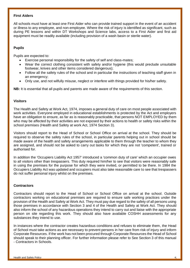#### **First Aiders**

All schools must have at least one First Aider who can provide trained support in the event of an accident or illness to any employee, and non-employee. Where the risk of injury is identified as significant, such as during PE lessons and within DT Workshops and Science labs, access to a First Aider and first aid equipment must be readily available (including provision of a wash basin or sterile water).

#### **Pupil***s*

Pupils are expected to:

- Exercise personal responsibility for the safety of self and class-mates;
- Wear the correct clothing consistent with safety and/or hygiene (this would preclude unsuitable footwear, knives and other items considered dangerous);
- Follow all the safety rules of the school and in particular the instructions of teaching staff given in an emergency;
- Only use, and not wilfully misuse, neglect or interfere with things provided for his/her safety.

**NB:** It is essential that all pupils and parents are made aware of the requirements of this section.

#### **Visitors**

The Health and Safety at Work Act, 1974, imposes a general duty of care on most people associated with work activities. Everyone employed in educational establishments is protected by the Act and employers have an obligation to ensure, as far as is reasonably practicable, that persons NOT EMPLOYED by them who may be affected by their activities are not exposed by their actions to health or safety risks within the school premises (Health and Safety at work Act, 1974 Section 3).

Visitors should report to the Head of School or School Office on arrival at the school. They should be required to observe the safety rules of the school, in particular parents helping out in school should be made aware of the health and safety arrangements applicable to them through the teacher to whom they are assigned, and should not be asked to carry out tasks for which they are not 'competent', trained or authorised for.

In addition the 'Occupiers Liability Act 1957' introduced a 'common duty of care' which an occupier owes to all visitors other than trespassers. This duty required him/her to see that visitors were reasonably safe in using the premises for the purpose for which they were invited, or permitted to be there. In 1984 the Occupiers Liability Act was updated and occupiers must also take reasonable care to see that trespassers do not suffer personal injury whilst on the premises.

#### **Contractors**

Contractors should report to the Head of School or School Office on arrival at the school. Outside contractors working on educational premises are required to ensure safe working practices under the provision of the Health and Safety at Work Act. They must pay due regard to the safety of all persons using those premises in accordance with Section 3 and 4 of the Health and Safety at Work Act. They should also inform the school of any hazardous operations they intend to carry out and liaise with the appropriate person on site regarding this work. They should also have available COSHH assessments for any substances they intend to use.

In instances where the contractor creates hazardous conditions and refuses to eliminate them, the Head of School must take actions as are necessary to prevent persons in her care from risk of injury and inform Corporate Resources. If the work has not been procured through Corporate Resources the Head of School should speak to their planning officer. For further information please refer to See Section 3 of this manual - Contractors in Schools.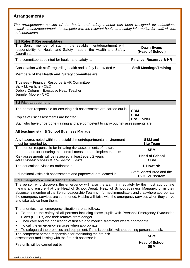# **Arrangements**

*The arrangements section of the health and safety manual has been designed for educational establishments/departments to complete with the relevant health and safety information for staff, visitors and contractors.*

| 3.1 Roles & Responsibilities<br>The Senior member of staff in the establishment/department with<br>responsibility for Health and Safety matters, the Health and Safety<br>Coordinator is:                                                                                                                                                                                                                                                                                             | <b>Dawn Evans</b><br>(Head of School) |  |
|---------------------------------------------------------------------------------------------------------------------------------------------------------------------------------------------------------------------------------------------------------------------------------------------------------------------------------------------------------------------------------------------------------------------------------------------------------------------------------------|---------------------------------------|--|
| The committee appointed for health and safety is:                                                                                                                                                                                                                                                                                                                                                                                                                                     | <b>Finance, Resource &amp; HR</b>     |  |
| Consultation with staff, regarding health and safety is provided via:                                                                                                                                                                                                                                                                                                                                                                                                                 | <b>Staff Meetings/Training</b>        |  |
| Members of the Health and Safety committee are:                                                                                                                                                                                                                                                                                                                                                                                                                                       |                                       |  |
| Trustees - Finance, Resource & HR Committee<br>Sally McFarlane - CEO<br>Debbie Coburn - Executive Head Teacher<br>Jennifer Moore - CFO                                                                                                                                                                                                                                                                                                                                                |                                       |  |
| 3.2 Risk assessment                                                                                                                                                                                                                                                                                                                                                                                                                                                                   |                                       |  |
| The person responsible for ensuring risk assessments are carried out is:                                                                                                                                                                                                                                                                                                                                                                                                              | <b>SBM</b>                            |  |
| Copies of risk assessments are located :                                                                                                                                                                                                                                                                                                                                                                                                                                              | <b>SBM</b><br><b>H&amp;S Folder</b>   |  |
| Staff who have undergone training and are competent to carry out risk assessments are:                                                                                                                                                                                                                                                                                                                                                                                                |                                       |  |
| All teaching staff & School Business Manager                                                                                                                                                                                                                                                                                                                                                                                                                                          |                                       |  |
| Any hazards noted within the establishment/departmental environment<br>must be reported to:                                                                                                                                                                                                                                                                                                                                                                                           | <b>SBM</b> and<br><b>Site Team</b>    |  |
| The person responsible for initiating risk assessments of hazard<br>reported and for ensuring that control measures are implemented is:                                                                                                                                                                                                                                                                                                                                               | <b>SBM</b>                            |  |
| Risk assessments will be reviewed at least every 2 years<br>(NB this should be carried out at LEAST every 2 - 3 years)                                                                                                                                                                                                                                                                                                                                                                | <b>Head of School</b><br><b>SBM</b>   |  |
| The educational visits co-ordinator is:                                                                                                                                                                                                                                                                                                                                                                                                                                               | <b>L</b> Howarth                      |  |
| Staff Shared Area and the<br>Educational visits risk assessments and paperwork are located in:<br><b>EVOLVE system</b>                                                                                                                                                                                                                                                                                                                                                                |                                       |  |
| 3.3 Emergency & Fire Arrangements                                                                                                                                                                                                                                                                                                                                                                                                                                                     |                                       |  |
| The person who discovers the emergency will raise the alarm immediately by the most appropriate<br>means and ensure that the Head of School/Deputy Head of School/Business Manager, or in their<br>absence, a member of the Senior Leadership Team is informed immediately and that where appropriate<br>the emergency services are summoned. He/she will liaise with the emergency services when they arrive<br>and take advice from them.                                           |                                       |  |
| The priorities in an emergency situation are as follows:<br>To ensure the safety of all persons including those pupils with Personal Emergency Evacuation<br>Plans (PEEPs) and their removal from danger,<br>Their care and the application of first aid and medical treatment where appropriate;<br>$\bullet$<br>To call the emergency services when appropriate;<br>٠<br>To safeguard the premises and equipment, if this is possible without putting persons at risk.<br>$\bullet$ |                                       |  |
| The competent person responsible for monitoring the fire risk<br><b>SBM</b><br>assessment and liaising with the fire risk assessor is:                                                                                                                                                                                                                                                                                                                                                |                                       |  |
| Fire drills will be carried out by:                                                                                                                                                                                                                                                                                                                                                                                                                                                   | <b>Head of School</b><br><b>SBM</b>   |  |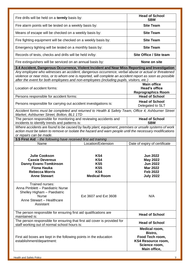| Fire drills will be held on a termly basis by:                                                                                                       |                                                                                                                                                                                                                                                                                                          | <b>Head of School</b><br><b>SBM</b>                                                                             |
|------------------------------------------------------------------------------------------------------------------------------------------------------|----------------------------------------------------------------------------------------------------------------------------------------------------------------------------------------------------------------------------------------------------------------------------------------------------------|-----------------------------------------------------------------------------------------------------------------|
|                                                                                                                                                      | <b>Site Team</b><br>Fire alarm points will be tested on a weekly basis by:                                                                                                                                                                                                                               |                                                                                                                 |
| Means of escape will be checked on a weekly basis by:                                                                                                |                                                                                                                                                                                                                                                                                                          | <b>Site Team</b>                                                                                                |
| Fire fighting equipment will be checked on a weekly basis by:                                                                                        |                                                                                                                                                                                                                                                                                                          | <b>Site Team</b>                                                                                                |
| Emergency lighting will be tested on a monthly basis by:                                                                                             |                                                                                                                                                                                                                                                                                                          | <b>Site Team</b>                                                                                                |
| Records of tests, checks and drills will be held in/by:                                                                                              |                                                                                                                                                                                                                                                                                                          | Site Office / Site team                                                                                         |
| Fire extinguishers will be serviced on an annual basis by:                                                                                           |                                                                                                                                                                                                                                                                                                          | None on site                                                                                                    |
|                                                                                                                                                      | 3.4 Accident, Dangerous Occurrence, Violent Incident and Near Miss Reporting and Investigation                                                                                                                                                                                                           |                                                                                                                 |
|                                                                                                                                                      | Any employee who witnesses an accident, dangerous occurrence, verbal abuse or actual or threatened<br>violence or near miss, or to whom one is reported, will complete an accident report as soon as possible<br>after the event for both employees and non-employees (including pupils, visitors, etc.) |                                                                                                                 |
| Location of accident forms:                                                                                                                          |                                                                                                                                                                                                                                                                                                          | <b>Main office</b><br><b>Head's office</b><br><b>Reprographics Room</b>                                         |
| Persons responsible for accident forms:                                                                                                              |                                                                                                                                                                                                                                                                                                          | <b>Head of School</b>                                                                                           |
| Persons responsible for carrying out accident investigations is:                                                                                     |                                                                                                                                                                                                                                                                                                          | <b>Head of School</b><br>Delegated to SLT                                                                       |
| Market, Ashburner Street, Bolton, BL1 1TD                                                                                                            | Accident forms must be completed and returned to Health & Safety Team, Office 4, Ashburner Street                                                                                                                                                                                                        |                                                                                                                 |
| The person responsible for monitoring and reviewing accidents and<br>incidents to identify trends and patterns is:                                   |                                                                                                                                                                                                                                                                                                          | <b>Head of School</b><br><b>SBM</b>                                                                             |
| or repairs can be made.                                                                                                                              | Where accidents are found to be caused by faulty plant, equipment, premises or unsafe systems of work<br>action must be taken to remove or isolate the hazard and warn people until the necessary modifications                                                                                          |                                                                                                                 |
| 3.5 First Aid - the following have received first aid training                                                                                       |                                                                                                                                                                                                                                                                                                          |                                                                                                                 |
| Name                                                                                                                                                 | Location/Extension                                                                                                                                                                                                                                                                                       | Date of expiry of certificate                                                                                   |
| <b>Julie Cookson</b><br><b>Cassie Devereux</b><br><b>Danny Evans-Tomkinson</b><br><b>Fiona Hauka</b><br><b>Rebecca Morris</b><br><b>Anne Stewart</b> | KS4<br>KS4<br>KS5<br>KS5<br>KS4<br><b>Medical Room</b>                                                                                                                                                                                                                                                   | <b>Jun 2022</b><br><b>May 2022</b><br><b>Jun 2022</b><br><b>Mar 2022</b><br><b>Feb 2022</b><br><b>July 2022</b> |
| Trained nurses:<br>Anna Pimblett - Paediatric Nurse<br>Shelley Higham - Paediatric<br><b>Nurse</b><br>Anne Stewart - Healthcare<br>Assistant         | Ext 3607 and Ext 3608                                                                                                                                                                                                                                                                                    | N/A                                                                                                             |
| maintained is:                                                                                                                                       | The person responsible for ensuring first aid qualifications are<br><b>Head of School</b>                                                                                                                                                                                                                |                                                                                                                 |
| staff working out of normal school hours is:                                                                                                         | The person responsible for ensuring that first aid cover is provided for                                                                                                                                                                                                                                 |                                                                                                                 |
| First aid boxes are kept in the following points in the education<br>establishment/department:                                                       |                                                                                                                                                                                                                                                                                                          | Medical room,<br>Bistro,<br>Food Tech room,<br><b>KS4 Resource room,</b><br>Science room,<br>Main office,       |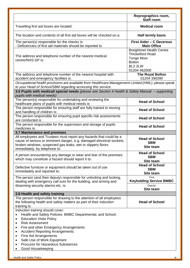|                                                                                                                                                                                                                                                                                                                                                                                                                              | Reprographics room,<br><b>Staff room</b>                                                                                    |  |
|------------------------------------------------------------------------------------------------------------------------------------------------------------------------------------------------------------------------------------------------------------------------------------------------------------------------------------------------------------------------------------------------------------------------------|-----------------------------------------------------------------------------------------------------------------------------|--|
| Travelling first aid boxes are located:                                                                                                                                                                                                                                                                                                                                                                                      | <b>Medical room</b>                                                                                                         |  |
| The location and contents of all first aid boxes will be checked on a:                                                                                                                                                                                                                                                                                                                                                       | <b>Half termly basis</b>                                                                                                    |  |
| The person(s) responsible for the checks is:<br>- Deficiencies of first aid materials should be reported to                                                                                                                                                                                                                                                                                                                  | <b>First Aider - C Devereux</b><br><b>Main Office</b>                                                                       |  |
| The address and telephone number of the nearest medical<br>centre/NHS GP is:                                                                                                                                                                                                                                                                                                                                                 | <b>Breightmet Health Centre</b><br><b>Thicketford Road</b><br><b>Tonge Moor</b><br><b>Bolton</b><br>BL2 2LW<br>01204 462500 |  |
| The address and telephone number of the nearest hospital with<br>accident and emergency facilities is:                                                                                                                                                                                                                                                                                                                       | <b>The Royal Bolton</b><br>01204 390390                                                                                     |  |
| Occupational health provisions are available from Healthcare Management Limited (HML); please speak<br>to your Head of School/SBM regarding accessing this service.                                                                                                                                                                                                                                                          |                                                                                                                             |  |
| 3.6 Pupils with medical/ special needs (please see Section 4 Health & Safety Manual - supporting<br>pupils with medical needs)                                                                                                                                                                                                                                                                                               |                                                                                                                             |  |
| The person(s) responsible for undertaking and reviewing the<br>healthcare plans of pupils with medical needs is:                                                                                                                                                                                                                                                                                                             | <b>Head of School</b>                                                                                                       |  |
| The person responsible for ensuring staff are fully trained in moving<br>and handling of children is:                                                                                                                                                                                                                                                                                                                        | <b>Head of School</b>                                                                                                       |  |
| The person responsible for ensuring pupil specific risk assessments<br>are conducted is :                                                                                                                                                                                                                                                                                                                                    | <b>Head of School</b>                                                                                                       |  |
| The person responsible for the supervision and storage of pupils<br>medicines is:                                                                                                                                                                                                                                                                                                                                            | <b>Head of School</b>                                                                                                       |  |
| 3.7 Maintenance and premises                                                                                                                                                                                                                                                                                                                                                                                                 |                                                                                                                             |  |
| All employees and Trustees must report any hazards that could be a<br>cause of serious or imminent danger, e.g. damaged electrical sockets,<br>broken windows, suspected gas leaks, wet or slippery floors<br>immediately, by telephone to:                                                                                                                                                                                  | <b>Head of School</b><br><b>SBM</b><br><b>Site team</b>                                                                     |  |
| A person encountering any damage or wear and tear of the premises<br>which may constitute a hazard should report it to:                                                                                                                                                                                                                                                                                                      | <b>Head of School</b><br><b>SBM</b><br>Site team                                                                            |  |
| Defective furniture or equipment should be taken out of use<br>immediately and reported to:                                                                                                                                                                                                                                                                                                                                  | <b>Head of School</b><br><b>SBM</b>                                                                                         |  |
| The person (and their deputy) responsible for unlocking and locking,<br>dealing with emergency call outs for the building, and arming and                                                                                                                                                                                                                                                                                    | Site team<br>First<br><b>Keyholding Service BMBC</b>                                                                        |  |
| disarming security alarms etc. is:                                                                                                                                                                                                                                                                                                                                                                                           | Deputy<br>Site team                                                                                                         |  |
| 3.8 Health and safety training                                                                                                                                                                                                                                                                                                                                                                                               |                                                                                                                             |  |
| The person responsible for drawing to the attention of all employees<br>the following health and safety matters as part of their induction<br>training is:                                                                                                                                                                                                                                                                   | <b>Head of School</b>                                                                                                       |  |
| Induction training should cover:<br>Health and Safety Policies: BMBC Departmental, and School.<br>$\bullet$<br><b>Education Visits Policy</b><br>٠<br><b>Risk Assessment</b><br>٠<br>Fire and other Emergency Arrangements<br>٠<br><b>Accident Reporting Arrangements</b><br>$\bullet$<br><b>First Aid Arrangements</b><br>$\bullet$<br>Safe Use of Work Equipment<br>Procures for Hazardous Substances<br>Good Housekeeping |                                                                                                                             |  |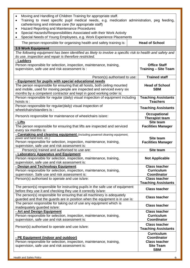| Moving and Handling of Children Training for appropriate staff.<br>Training to meet specific pupil medical needs, e.g. medication administration, peg feeding,<br>$\bullet$<br>catheterising and intimate care (for appropriate staff)<br>Hazard Reporting and Maintenance Procedures<br>٠<br>Special Hazards/Responsibilities Associated with their Work Activity<br>Special Needs of Young Employees, e.g. Work Experience Placements |                                                                                                   |  |
|-----------------------------------------------------------------------------------------------------------------------------------------------------------------------------------------------------------------------------------------------------------------------------------------------------------------------------------------------------------------------------------------------------------------------------------------|---------------------------------------------------------------------------------------------------|--|
| The person responsible for organising health and safety training is:                                                                                                                                                                                                                                                                                                                                                                    | <b>Head of School</b>                                                                             |  |
| <b>3.9 Work Equipment</b><br>The following equipment has been identified as likely to involve a specific risk to health and safety and<br>its use, inspection and repair is therefore restricted.<br>- Ladders                                                                                                                                                                                                                          |                                                                                                   |  |
| Person responsible for selection, inspection, maintenance, training,<br>supervision, safe use and risk assessment is :                                                                                                                                                                                                                                                                                                                  | <b>Office Staff</b><br><b>Training - Site Team</b>                                                |  |
| Person(s) authorised to use:                                                                                                                                                                                                                                                                                                                                                                                                            | <b>Trained staff</b>                                                                              |  |
| - Equipment for pupils with special educational needs<br>The person responsible for ensuring that all hoists, both ceiling mounted<br>and mobile, used for moving people are inspected and serviced every six<br>months by a competent contractor and kept in good working order is:                                                                                                                                                    | <b>Head of School</b><br><b>SBM</b>                                                               |  |
| Person responsible for regular (daily) visual inspection of equipment including<br>hoists is :                                                                                                                                                                                                                                                                                                                                          | <b>Teaching Assistants</b><br><b>Teachers</b>                                                     |  |
| Person responsible for regular(daily) visual inspection of<br>wheelchairs/standers is:                                                                                                                                                                                                                                                                                                                                                  | <b>Teaching Assistants</b>                                                                        |  |
| Person/s responsible for maintenance of wheelchairs is/are:                                                                                                                                                                                                                                                                                                                                                                             | <b>Occupational</b><br><b>Therapist team</b>                                                      |  |
| - Lifts<br>The person responsible for ensuring that lifts are inspected and serviced<br>every six months is:                                                                                                                                                                                                                                                                                                                            | <b>Site team</b><br><b>Facilities Manager</b>                                                     |  |
| - Caretaking and cleaning equipment (including powered cleaning equipment,<br>power and hand tools, etc.)<br>Person responsible for selection, inspection, maintenance, training,<br>supervision, safe use and risk assessment is:                                                                                                                                                                                                      | <b>Site team</b><br><b>Facilities Manager</b>                                                     |  |
| Person(s) trained and authorised to use are:                                                                                                                                                                                                                                                                                                                                                                                            | Site team                                                                                         |  |
| - Laboratory Apparatus and Equipment<br>Person responsible for selection, inspection, maintenance, training,<br>supervision, safe use and risk assessment is:                                                                                                                                                                                                                                                                           | <b>Not Applicable</b>                                                                             |  |
| - Design and Technology Equipment<br>Person responsible for selection, inspection, maintenance, training,<br>supervision. Safe use and risk assessment is:                                                                                                                                                                                                                                                                              | <b>Class teacher</b><br><b>Curriculum</b><br><b>Coordinator</b>                                   |  |
| Person(s) authorised to operate and use is/are:                                                                                                                                                                                                                                                                                                                                                                                         | <b>Class teacher</b><br><b>Teaching Assistants</b>                                                |  |
| The person(s) responsible for instructing pupils in the safe use of equipment<br>before they use it and checking they use it correctly is/are:                                                                                                                                                                                                                                                                                          | <b>Class teacher</b>                                                                              |  |
| The person(s) responsible for ensuring that all machinery is adequately<br>guarded and that the guards are in position when the equipment is in use is:                                                                                                                                                                                                                                                                                 | <b>Class teacher</b>                                                                              |  |
| The person responsible for taking out of use any equipment which is<br>inadequately guarded is/are:                                                                                                                                                                                                                                                                                                                                     | <b>Class teacher</b>                                                                              |  |
| - Art and Design Equipment<br>Person responsible for selection, inspection, maintenance, training,<br>supervision, safe use and risk assessment is:                                                                                                                                                                                                                                                                                     | <b>Class teacher</b><br><b>Curriculum</b><br><b>Coordinator</b>                                   |  |
| Person(s) authorised to operate and use is/are:                                                                                                                                                                                                                                                                                                                                                                                         | <b>Class teacher</b><br><b>Teaching Assistants</b>                                                |  |
| - PE Equipment (indoor and outdoor)<br>Person responsible for selection, inspection, maintenance, training,<br>supervision, safe use and risk assessment is:                                                                                                                                                                                                                                                                            | <b>Curriculum</b><br><b>Coordinator</b><br><b>Class teacher</b><br><b>Site Team</b><br><b>SBM</b> |  |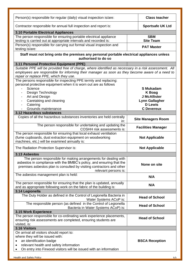| Person(s) responsible for regular (daily) visual inspection is/are:                                                                                                                                                                                | <b>Class teacher</b>      |
|----------------------------------------------------------------------------------------------------------------------------------------------------------------------------------------------------------------------------------------------------|---------------------------|
| Contractor responsible for annual full inspection and report is:                                                                                                                                                                                   | <b>Sportsafe UK Ltd</b>   |
| 3.10 Portable Electrical Appliances                                                                                                                                                                                                                |                           |
| The person responsible for ensuring portable electrical appliance                                                                                                                                                                                  | <b>SBM</b>                |
| testing is carried out at appropriate intervals and recorded is:                                                                                                                                                                                   | <b>Site Team</b>          |
| Person(s) responsible for carrying out formal visual inspection and<br>testing is/are:                                                                                                                                                             | <b>PAT Master</b>         |
| Staff must not bring onto the premises any personal portable electrical appliances unless<br>authorised to do so                                                                                                                                   |                           |
| 3.11 Personal Protective Equipment (PPE)                                                                                                                                                                                                           |                           |
| Suitable PPE will be provided free of charge, where identified as necessary in a risk assessment. All<br>employees are responsible for informing their manager as soon as they become aware of a need to<br>repair or replace PPE, which they use. |                           |
| The persons responsible for inspecting PPE termly and replacing:                                                                                                                                                                                   |                           |
| personal protective equipment when it is worn out are as follows<br>Science                                                                                                                                                                        | <b>S Mukadam</b>          |
| Design Technology                                                                                                                                                                                                                                  | K Boag                    |
| Art and Design                                                                                                                                                                                                                                     | <b>J McAllister</b>       |
| Caretaking and cleaning                                                                                                                                                                                                                            | <b>Lynn Gallagher</b>     |
| Catering                                                                                                                                                                                                                                           | <b>D</b> Lewis            |
| Grounds maintenance                                                                                                                                                                                                                                | <b>C</b> Devereux         |
| 3.12 Hazardous substances                                                                                                                                                                                                                          |                           |
| Copies of all the hazardous substances inventories are held centrally<br>in:                                                                                                                                                                       | <b>Site Managers Room</b> |
| The person responsible for undertaking and updating the<br><b>COSHH risk assessments is:</b>                                                                                                                                                       | <b>Facilities Manager</b> |
| The person responsible for ensuring that local exhaust ventilation                                                                                                                                                                                 |                           |
| (fume cupboards, dust extraction equipment on woodworking<br>machines, etc.) will be examined annually is:                                                                                                                                         | <b>Not Applicable</b>     |
| The Radiation Protection Supervisor is:                                                                                                                                                                                                            | <b>Not Applicable</b>     |
| 3.13 Asbestos                                                                                                                                                                                                                                      |                           |
| The person responsible for making arrangements for dealing with<br>asbestos in compliance with the BMBC's policy, and ensuring that the<br>premises asbestos plan is consulted by visiting contractors and other<br>relevant persons is:           | None on site              |
| The asbestos management plan is held:                                                                                                                                                                                                              | N/A                       |
| The person responsible for ensuring that the plan is updated, annually<br>and as appropriate following work on the fabric of the building is:                                                                                                      | N/A                       |
| 3.14 Legionella                                                                                                                                                                                                                                    |                           |
| The Duty Holder as defined in the Control of Legionella Bacteria in<br>Water Systems ACoP is:                                                                                                                                                      | <b>Head of School</b>     |
| The responsible person (as defined in the Control of Legionella<br>Bacteria in Water Systems ACoP) is:                                                                                                                                             | <b>Head of School</b>     |
| 3.15 Work Experience                                                                                                                                                                                                                               |                           |
| The person responsible for co-ordinating work experience placements,<br>ensuring risk assessments are completed, ensuring students are<br>visited, is:                                                                                             | <b>Head of School</b>     |
| 3.16 Visitors                                                                                                                                                                                                                                      |                           |
| On arrival all visitors should report to:                                                                                                                                                                                                          |                           |
| where they will be issued with:                                                                                                                                                                                                                    |                           |
| an identification badge<br>٠                                                                                                                                                                                                                       | <b>BSCA Reception</b>     |
| relevant health and safety information                                                                                                                                                                                                             |                           |
| On entry into Firwood visitors will be issued with an information                                                                                                                                                                                  |                           |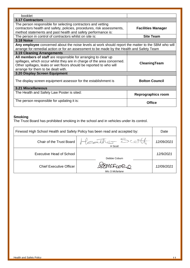| booklet                                                                                                                                                                                                                                                |                           |  |
|--------------------------------------------------------------------------------------------------------------------------------------------------------------------------------------------------------------------------------------------------------|---------------------------|--|
| <b>3.17 Contractors</b>                                                                                                                                                                                                                                |                           |  |
| The person responsible for selecting contractors and vetting<br>contractors health and safety, policies, procedures, risk assessments,<br>method statements and past health and safety performance is:                                                 | <b>Facilities Manager</b> |  |
| The person in control of contractors whilst on site is:                                                                                                                                                                                                | <b>Site Team</b>          |  |
| <b>3.18 Noise</b>                                                                                                                                                                                                                                      |                           |  |
| Any employee concerned about the noise levels at work should report the matter to the SBM who will<br>arrange for remedial action or for an assessment to be made by the Health and Safety Team                                                        |                           |  |
| <b>3.19 Cleaning Arrangements</b>                                                                                                                                                                                                                      |                           |  |
| All members of staff are responsible for arranging to clear up<br>spillages, which occur whilst they are in charge of the area concerned.<br>Other spillages, leaks or wet floors should be reported to who will<br>arrange for them to be dealt with. | CleaningTeam              |  |
| 3.20 Display Screen Equipment                                                                                                                                                                                                                          |                           |  |
| The display screen equipment assessor for the establishment is                                                                                                                                                                                         | <b>Bolton Council</b>     |  |
| <b>3.21 Miscellaneous</b>                                                                                                                                                                                                                              |                           |  |
| The Health and Safety Law Poster is sited:                                                                                                                                                                                                             | <b>Reprographics room</b> |  |
| The person responsible for updating it is:                                                                                                                                                                                                             | Office                    |  |

#### **Smoking**

The Trust Board has prohibited smoking in the school and in vehicles under its control.

|                                 | Firwood High School Health and Safety Policy has been read and accepted by: | Date       |
|---------------------------------|-----------------------------------------------------------------------------|------------|
| Chair of the Trust Board        | Heather Scott<br>H Scott                                                    | 12/09/2021 |
| <b>Executive Head of School</b> | Debbie Coburn                                                               | 12/9/2021  |
| <b>Chief Executive Officer</b>  | MCFare <sub>10</sub><br>Mrs S Mcfarlane                                     | 12/09/2021 |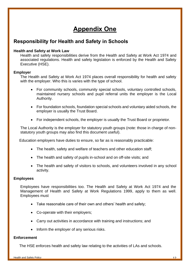# **Appendix One**

# **Responsibility for Health and Safety in Schools**

#### **Health and Safety at Work Law**

Health and safety responsibilities derive from the Health and Safety at Work Act 1974 and associated regulations. Health and safety legislation is enforced by the Health and Safety Executive (HSE).

#### **Employer**

The Health and Safety at Work Act 1974 places overall responsibility for health and safety with the employer. Who this is varies with the type of school.

- For community schools, community special schools, voluntary controlled schools, maintained nursery schools and pupil referral units the employer is the Local Authority.
- For foundation schools, foundation special schools and voluntary aided schools, the employer is usually the Trust Board.
- For independent schools, the employer is usually the Trust Board or proprietor.

The Local Authority is the employer for statutory youth groups (note: those in charge of nonstatutory youth groups may also find this document useful).

Education employers have duties to ensure, so far as is reasonably practicable:

- The health, safety and welfare of teachers and other education staff;
- The health and safety of pupils in-school and on off-site visits; and
- The health and safety of visitors to schools, and volunteers involved in any school activity.

#### **Employees**

Employees have responsibilities too. The Health and Safety at Work Act 1974 and the Management of Health and Safety at Work Regulations 1999, apply to them as well. Employees must

- Take reasonable care of their own and others' health and safety;
- Co-operate with their employers;
- Carry out activities in accordance with training and instructions; and
- Inform the employer of any serious risks.

#### **Enforcement**

The HSE enforces health and safety law relating to the activities of LAs and schools.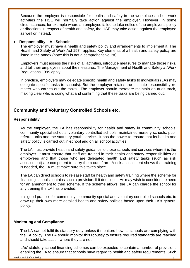Because the employer is responsible for health and safety in the workplace and on work activities the HSE will normally take action against the employer. However, in some circumstances, for example where an employee failed to take notice of the employer's policy or directions in respect of health and safety, the HSE may take action against the employee as well or instead.

#### • **Responsibility – All Schools**

The employer must have a health and safety policy and arrangements to implement it. The Health and Safety at Work Act 1974 applies. Key elements of a health and safety policy are listed in the annex (note: this is not a comprehensive list).

Employers must assess the risks of all activities, introduce measures to manage those risks, and tell their employees about the measures. The Management of Health and Safety at Work Regulations 1999 apply.

In practice, employers may delegate specific health and safety tasks to individuals (LAs may delegate specific tasks to schools). But the employer retains the ultimate responsibility no matter who carries out the tasks. The employer should therefore maintain an audit track, making clear who is doing what and confirming that these tasks are being carried out.

### **Community and Voluntary Controlled Schools etc.**

#### **Responsibility**

As the employer, the LA has responsibility for health and safety in community schools, community special schools, voluntary controlled schools, maintained nursery schools, pupil referral units and the statutory youth service. It has the power to ensure that its health and safety policy is carried out in-school and on all school activities.

The LA must provide health and safety guidance to those schools and services where it is the employer. It must ensure that staff are trained in their health and safety responsibilities as employees and that those who are delegated health and safety tasks (such as risk assessment) are competent to carry them out. If an LA risk assessment shows that training is needed, the LA must make sure this takes place.

The LA can direct schools to release staff for health and safety training where the scheme for financing schools contains such a provision. If it does not, LAs may wish to consider the need for an amendment to their scheme. If the scheme allows, the LA can charge the school for any training the LA has provided.

It is good practice for community, community special and voluntary controlled schools etc. to draw up their own more detailed health and safety policies based upon their LA's general policy.

#### **Monitoring and Compliance**

The LA cannot fulfil its statutory duty unless it monitors how its schools are complying with the LA policy. The LA should monitor this robustly to ensure required standards are reached and should take action where they are not.

LAs' statutory school financing schemes can be expected to contain a number of provisions enabling the LA to ensure that schools have regard to health and safety requirements. Such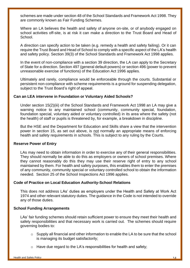schemes are made under section 48 of the School Standards and Framework Act 1998. They are commonly known as Fair Funding Schemes.

Where an LA believes the health and safety of anyone on-site, or of anybody engaged on school activities off-site, is at risk it can make a direction to the Trust Board and Head of **School** 

A direction can specify action to be taken (e.g. remedy a health and safety failing). Or it can require the Trust Board and Head of School to comply with a specific aspect of the LA's health and safety policy. Section 39(3) of the School Standards and Framework Act 1998 applies.

In the event of non-compliance with a section 39 direction, the LA can apply to the Secretary of State for a direction. Section 497 (general default powers) or section 496 (power to prevent unreasonable exercise of functions) of the Education Act 1996 applies.

Ultimately and rarely, compliance would be enforceable through the courts. Substantial or persistent non-compliance with scheme requirements is a ground for suspending delegation, subject to the Trust Board's right of appeal.

#### **Can an LEA intervene in Foundation or Voluntary Aided Schools?**

Under section 15(2)(iii) of the School Standards and Framework Act 1998 an LA may give a warning notice to any maintained school (community, community special, foundation, foundation special, voluntary aided or voluntary controlled) in its area where the safety (not the health) of staff or pupils is threatened by, for example, a breakdown in discipline.

But the HSE and the Department for Education and Skills share a view that the intervention power in section 15, as set out above, is not normally an appropriate means of enforcing health and safety requirements in schools. This is subject to any ruling by the Courts.

#### **Reserve Power of Entry**

LAs may need to obtain information in order to exercise any of their general responsibilities. They should normally be able to do this as employers or owners of school premises. Where they cannot reasonably do this they may use their reserve right of entry to any school maintained by them. For health and safety purposes, this enables them to enter the premises of any community, community special or voluntary controlled school to obtain the information needed. Section 25 of the School Inspections Act 1996 applies.

#### **Code of Practice on Local Education Authority-School Relations**

This does not address LAs' duties as employers under the Health and Safety at Work Act 1974 and other relevant statutory duties. The guidance in the Code is not intended to override any of those duties.

#### **School Funding Arrangements**

LAs' fair funding schemes should retain sufficient power to ensure they meet their health and safety responsibilities and that necessary work is carried out. The schemes should require governing bodies to:

- o Supply all financial and other information to enable the LA to be sure that the school is managing its budget satisfactorily;
- $\circ$  Have due regard to the LA's responsibilities for health and safety;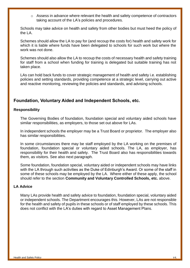o Assess in advance where relevant the health and safety competence of contractors taking account of the LA's policies and procedures.

Schools may take advice on health and safety from other bodies but must heed the policy of the LA.

Schemes should allow the LA to pay for (and recoup the costs for) health and safety work for which it is liable where funds have been delegated to schools for such work but where the work was not done.

Schemes should also allow the LA to recoup the costs of necessary health and safety training for staff from a school when funding for training is delegated but suitable training has not taken place.

LAs can hold back funds to cover strategic management of health and safety i.e. establishing policies and setting standards, providing competence at a strategic level, carrying out active and reactive monitoring, reviewing the policies and standards, and advising schools.

# **Foundation, Voluntary Aided and Independent Schools, etc.**

#### **Responsibility**

The Governing Bodies of foundation, foundation special and voluntary aided schools have similar responsibilities, as employers, to those set out above for LAs.

In independent schools the employer may be a Trust Board or proprietor. The employer also has similar responsibilities.

In some circumstances there may be staff employed by the LA working on the premises of foundation, foundation special or voluntary aided schools. The LA, as employer, has responsibility for their health and safety. The Trust Board also has responsibilities towards them, as visitors. See also next paragraph.

Some foundation, foundation special, voluntary aided or independent schools may have links with the LA through such activities as the Duke of Edinburgh's Award. Or some of the staff in some of these schools may be employed by the LA. Where either of these apply, the school should refer to the section **Community and Voluntary Controlled Schools, etc.** above.

#### **LA Advice**

Many LAs provide health and safety advice to foundation, foundation special, voluntary aided or independent schools. The Department encourages this. However, LAs are not responsible for the health and safety of pupils in these schools or of staff employed by these schools. This does not conflict with the LA's duties with regard to Asset Management Plans.